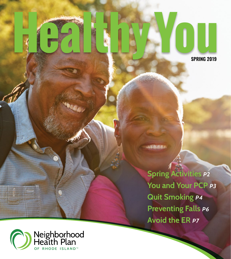**SPRING 2019**

**Spring Activities** *p2* **You and Your PCP** *p3* **Quit Smoking** *p4* **Preventing Falls** *p6* **Avoid the ER** *p7*

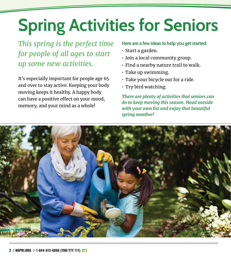## **Spring Activities for Seniors**

*This spring is the perfect time for people of all ages to start up some new activities.* 

It's especially important for people age 65 and over to stay active. Keeping your body moving keeps it healthy. A happy body can have a positive effect on your mood, memory, and your mind as a whole!

#### **Here are a few ideas to help you get started:**

- Start a garden.
- Join a local community group.
- Find a nearby nature trail to walk.
- Take up swimming.
- Take your bicycle out for a ride.
- Try bird watching.

*There are plenty of activities that seniors can do to keep moving this season. Head outside with your own list and enjoy that beautiful spring weather!*

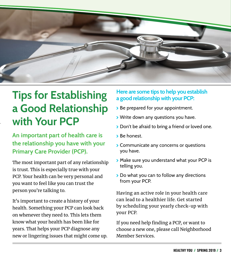

### **Tips for Establishing a Good Relationship with Your PCP**

**An important part of health care is the relationship you have with your Primary Care Provider (PCP).**

The most important part of any relationship is trust. This is especially true with your PCP. Your health can be very personal and you want to feel like you can trust the person you're talking to.

It's important to create a history of your health. Something your PCP can look back on whenever they need to. This lets them know what your health has been like for years. That helps your PCP diagnose any new or lingering issues that might come up.

#### **Here are some tips to help you establish a good relationship with your PCP:**

- > Be prepared for your appointment.
- **>** Write down any questions you have.
- > Don't be afraid to bring a friend or loved one.
- \ Be honest.
- **>** Communicate any concerns or questions you have.
- > Make sure you understand what your PCP is telling you.
- > Do what you can to follow any directions from your PCP.

Having an active role in your health care can lead to a healthier life. Get started by scheduling your yearly check-up with your PCP.

If you need help finding a PCP, or want to choose a new one, please call Neighborhood Member Services.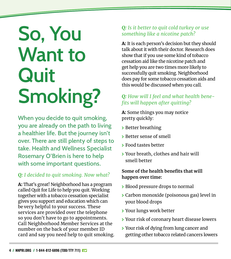# **So, You Want to Quit Smoking?**

**When you decide to quit smoking, you are already on the path to living a healthier life. But the journey isn't over. There are still plenty of steps to take. Health and Wellness Specialist Rosemary O'Brien is here to help with some important questions.**

#### *Q: I decided to quit smoking. Now what?*

A: That's great! Neighborhood has a program called Quit for Life to help you quit. Working together with a tobacco cessation specialist gives you support and education which can be very helpful to your success. These services are provided over the telephone so you don't have to go to appointments. Call Neighborhood Member Services at the number on the back of your member ID card and say you need help to quit smoking.

#### *Q: Is it better to quit cold turkey or use something like a nicotine patch?*

A: It is each person's decision but they should talk about it with their doctor. Research does show that if you use some kind of tobacco cessation aid like the nicotine patch and get help you are two times more likely to successfully quit smoking. Neighborhood does pay for some tobacco cessation aids and this would be discussed when you call.

#### *Q: How will I feel and what health benefits will happen after quitting?*

A: Some things you may notice pretty quickly:

- \ Better breathing
- \ Better sense of smell
- \ Food tastes better
- \ Your breath, clothes and hair will smell better

#### **Some of the health benefits that will happen over time:**

- > Blood pressure drops to normal
- \ Carbon monoxide (poisonous gas) level in your blood drops
- \ Your lungs work better
- **▶ Your risk of coronary heart disease lowers**
- \ Your risk of dying from lung cancer and getting other tobacco related cancers lowers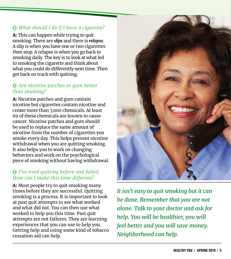#### *Q: What should I do if I have a cigarette?*

A: This can happen while trying to quit smoking. There are *slips* and there is *relapse*. A slip is when you have one or two cigarettes then stop. A relapse is when you go back to smoking daily. The key is to look at what led to smoking the cigarette and think about what you could do differently next time. Then get back on track with quitting.

#### *Q: Are nicotine patches or gum better than smoking?*

A: Nicotine patches and gum contain nicotine but cigarettes contain nicotine and create more than 7,000 chemicals. At least 69 of these chemicals are known to cause cancer. Nicotine patches and gum should be used to replace the same amount of nicotine from the number of cigarettes you smoke every day. This helps prevent nicotine withdrawal when you are quitting smoking. It also helps you to work on changing behaviors and work on the psychological piece of smoking without having withdrawal.

#### *Q: I've tried quitting before and failed. How can I make this time different?*

A: Most people try to quit smoking many times before they are successful. Quitting smoking is a process. It is important to look at past quit attempts to see what worked and what did not. You can then use what worked to help you this time. Past quit attempts are not failures. They are learning experiences that you can use to help you. Getting help and using some kind of tobacco cessation aid can help.



*It isn't easy to quit smoking but it can be done. Remember that you are not alone. Talk to your doctor and ask for help. You will be healthier, you will feel better and you will save money. Neighborhood can help.*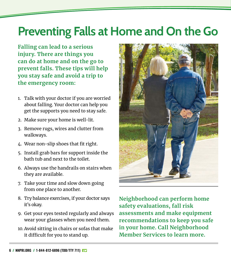### **Preventing Falls at Home and On the Go**

**Falling can lead to a serious injury. There are things you can do at home and on the go to prevent falls. These tips will help you stay safe and avoid a trip to the emergency room:**

- 1. Talk with your doctor if you are worried about falling. Your doctor can help you get the supports you need to stay safe.
- 2. Make sure your home is well-lit.
- 3. Remove rugs, wires and clutter from walkways.
- 4. Wear non-slip shoes that fit right.
- 5. Install grab bars for support inside the bath tub and next to the toilet.
- 6. Always use the handrails on stairs when they are available.
- 7. Take your time and slow down going from one place to another.
- 8. Try balance exercises, if your doctor says it's okay.
- 9. Get your eyes tested regularly and always wear your glasses when you need them.
- 10. Avoid sitting in chairs or sofas that make it difficult for you to stand up.



**Neighborhood can perform home safety evaluations, fall risk assessments and make equipment recommendations to keep you safe in your home. Call Neighborhood Member Services to learn more.**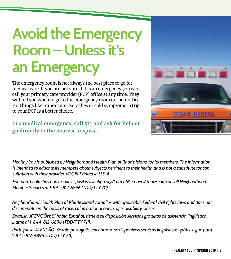## **Avoid the Emergency Room – Unless it's an Emergency**

The emergency room is not always the best place to go for medical care. If you are not sure if it is an emergency you can call your primary care provider (PCP) office at any time. They will tell you when to go to the emergency room or their office. For things like minor cuts, ear aches or cold symptoms, a trip to your PCP is a better choice.

**In a medical emergency, call 911 and ask for help or go directly to the nearest hospital.**



*Healthy You is published by Neighborhood Health Plan of Rhode Island for its members. The information is intended to educate its members about subjects pertinent to their health and is not a substitute for consultation with their provider. ©2019 Printed in U.S.A.* 

*For more health tips and resources, visit www.nhpri.org/CurrentMembers/YourHealth or call Neighborhood Member Services at 1-844-812-6896 (TDD/TTY 711).* 

*Neighborhood Health Plan of Rhode Island complies with applicable Federal civil rights laws and does not discriminate on the basis of race, color, national origin, age, disability, or sex.*

*Spanish: ATENCIÓN: Si habla Español, tiene a su disposición servicios gratuitos de asistencia lingüística. Llame al 1-844-812-6896 (TDD/TTY 711).* 

*Portuguese: ATENÇÃO: Se fala português, encontram-se disponíveis serviços linguísticos, grátis. Ligue para 1-844-812-6896 (TDD/TTY 711).*